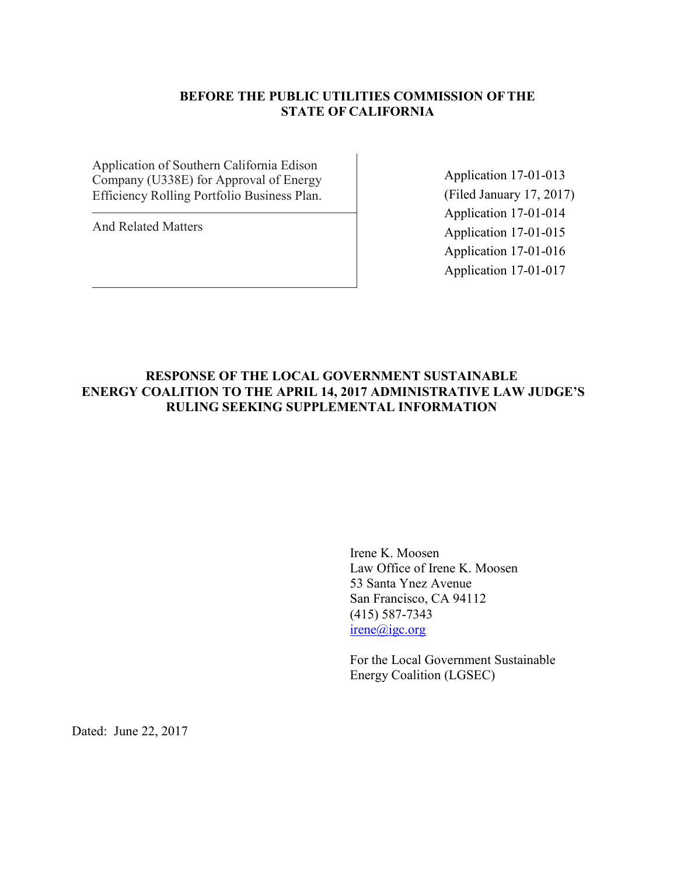## **BEFORE THE PUBLIC UTILITIES COMMISSION OFTHE STATE OF CALIFORNIA**

Application of Southern California Edison Company (U338E) for Approval of Energy Efficiency Rolling Portfolio Business Plan.

And Related Matters

Application 17-01-013 (Filed January 17, 2017) Application 17-01-014 Application 17-01-015 Application 17-01-016 Application 17-01-017

## **RESPONSE OF THE LOCAL GOVERNMENT SUSTAINABLE ENERGY COALITION TO THE APRIL 14, 2017 ADMINISTRATIVE LAW JUDGE'S RULING SEEKING SUPPLEMENTAL INFORMATION**

Irene K. Moosen Law Office of Irene K. Moosen 53 Santa Ynez Avenue San Francisco, CA 94112 (415) 587-7343 irene@igc.org

For the Local Government Sustainable Energy Coalition (LGSEC)

Dated: June 22, 2017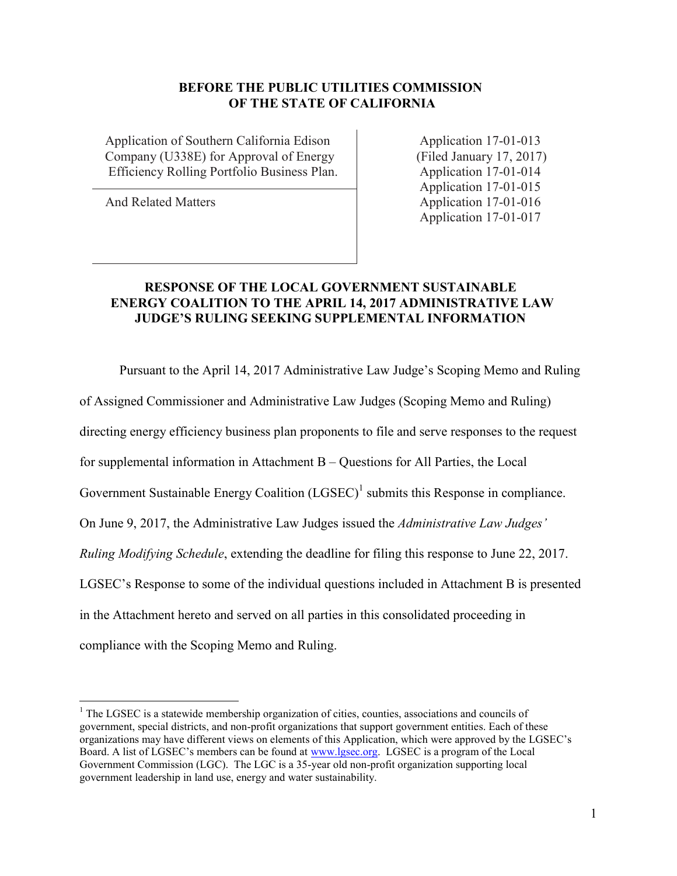#### **BEFORE THE PUBLIC UTILITIES COMMISSION OF THE STATE OF CALIFORNIA**

Application of Southern California Edison Application 17-01-013 Company (U338E) for Approval of Energy (Filed January 17, 2017) Efficiency Rolling Portfolio Business Plan. Application 17-01-014

Application 17-01-015 And Related Matters Application 17-01-016 Application 17-01-017

## **RESPONSE OF THE LOCAL GOVERNMENT SUSTAINABLE ENERGY COALITION TO THE APRIL 14, 2017 ADMINISTRATIVE LAW JUDGE'S RULING SEEKING SUPPLEMENTAL INFORMATION**

Pursuant to the April 14, 2017 Administrative Law Judge's Scoping Memo and Ruling

of Assigned Commissioner and Administrative Law Judges (Scoping Memo and Ruling)

directing energy efficiency business plan proponents to file and serve responses to the request

for supplemental information in Attachment B – Questions for All Parties, the Local

Government Sustainable Energy Coalition  $(LGSEC)^1$  submits this Response in compliance.

On June 9, 2017, the Administrative Law Judges issued the *Administrative Law Judges'* 

*Ruling Modifying Schedule*, extending the deadline for filing this response to June 22, 2017.

LGSEC's Response to some of the individual questions included in Attachment B is presented

in the Attachment hereto and served on all parties in this consolidated proceeding in

compliance with the Scoping Memo and Ruling.

 $<sup>1</sup>$  The LGSEC is a statewide membership organization of cities, counties, associations and councils of</sup> government, special districts, and non-profit organizations that support government entities. Each of these organizations may have different views on elements of this Application, which were approved by the LGSEC's Board. A list of LGSEC's members can be found at [www.lgsec.org.](http://www.lgsec.org/) LGSEC is a program of the Local Government Commission (LGC). The LGC is a 35-year old non-profit organization supporting local government leadership in land use, energy and water sustainability.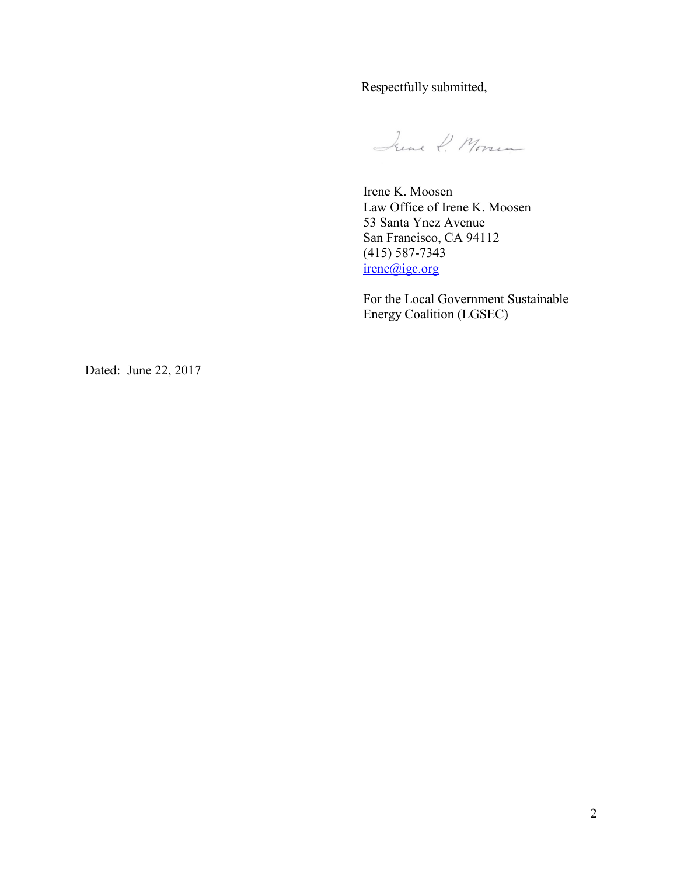Respectfully submitted,

June P. Morsen

Irene K. Moosen Law Office of Irene K. Moosen 53 Santa Ynez Avenue San Francisco, CA 94112 (415) 587-7343 irene@igc.org

For the Local Government Sustainable Energy Coalition (LGSEC)

Dated: June 22, 2017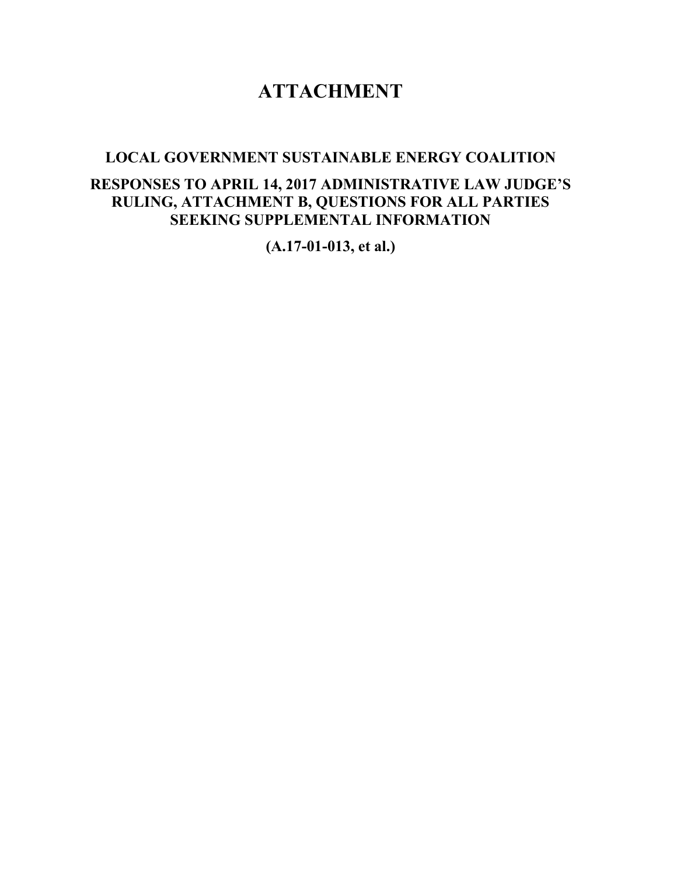# **ATTACHMENT**

## **LOCAL GOVERNMENT SUSTAINABLE ENERGY COALITION**

## **RESPONSES TO APRIL 14, 2017 ADMINISTRATIVE LAW JUDGE'S RULING, ATTACHMENT B, QUESTIONS FOR ALL PARTIES SEEKING SUPPLEMENTAL INFORMATION**

**(A.17-01-013, et al.)**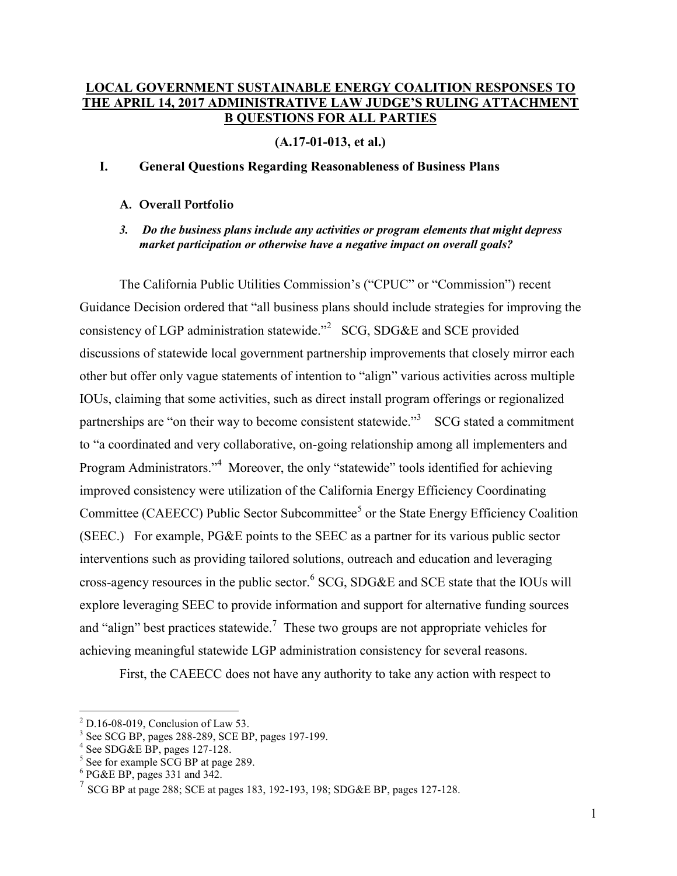#### **LOCAL GOVERNMENT SUSTAINABLE ENERGY COALITION RESPONSES TO THE APRIL 14, 2017 ADMINISTRATIVE LAW JUDGE'S RULING ATTACHMENT B QUESTIONS FOR ALL PARTIES**

**(A.17-01-013, et al.)**

#### **I. General Questions Regarding Reasonableness of Business Plans**

#### **A. Overall Portfolio**

*3. Do the business plans include any activities or program elements that might depress market participation or otherwise have a negative impact on overall goals?*

The California Public Utilities Commission's ("CPUC" or "Commission") recent Guidance Decision ordered that "all business plans should include strategies for improving the consistency of LGP administration statewide."<sup>2</sup> SCG, SDG&E and SCE provided discussions of statewide local government partnership improvements that closely mirror each other but offer only vague statements of intention to "align" various activities across multiple IOUs, claiming that some activities, such as direct install program offerings or regionalized partnerships are "on their way to become consistent statewide."<sup>3</sup> SCG stated a commitment to "a coordinated and very collaborative, on-going relationship among all implementers and Program Administrators."<sup>4</sup> Moreover, the only "statewide" tools identified for achieving improved consistency were utilization of the California Energy Efficiency Coordinating Committee (CAEECC) Public Sector Subcommittee<sup>5</sup> or the State Energy Efficiency Coalition (SEEC.) For example, PG&E points to the SEEC as a partner for its various public sector interventions such as providing tailored solutions, outreach and education and leveraging cross-agency resources in the public sector.  $6$  SCG, SDG&E and SCE state that the IOUs will explore leveraging SEEC to provide information and support for alternative funding sources and "align" best practices statewide.<sup>7</sup> These two groups are not appropriate vehicles for achieving meaningful statewide LGP administration consistency for several reasons.

First, the CAEECC does not have any authority to take any action with respect to

 $2$  D.16-08-019, Conclusion of Law 53.

<sup>3</sup> See SCG BP, pages 288-289, SCE BP, pages 197-199.

<sup>4</sup> See SDG&E BP, pages 127-128.

<sup>&</sup>lt;sup>5</sup> See for example SCG BP at page 289.

 $6$  PG&E BP, pages 331 and 342.

<sup>7</sup> SCG BP at page 288; SCE at pages 183, 192-193, 198; SDG&E BP, pages 127-128.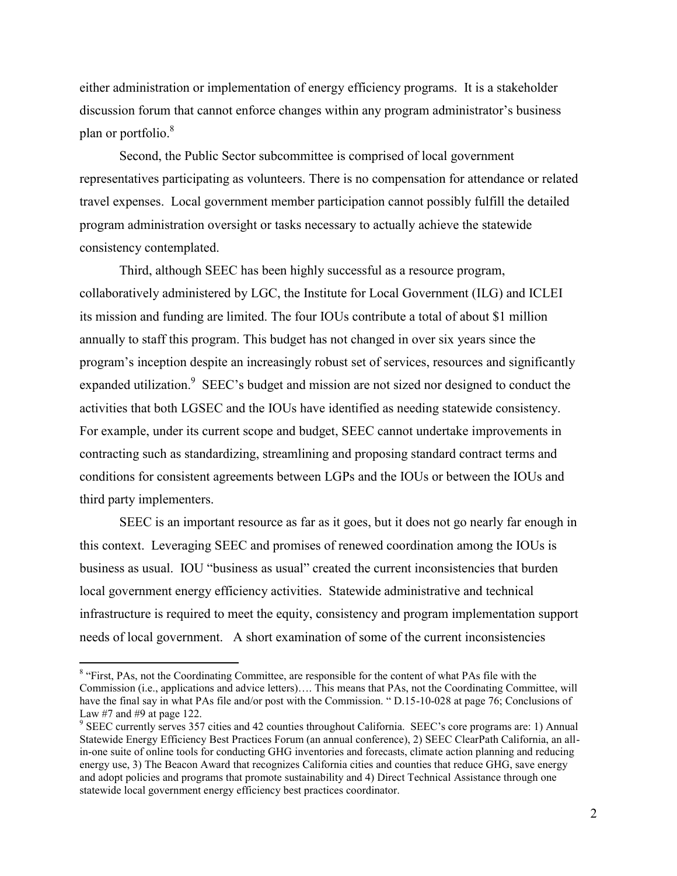either administration or implementation of energy efficiency programs. It is a stakeholder discussion forum that cannot enforce changes within any program administrator's business plan or portfolio.<sup>8</sup>

Second, the Public Sector subcommittee is comprised of local government representatives participating as volunteers. There is no compensation for attendance or related travel expenses. Local government member participation cannot possibly fulfill the detailed program administration oversight or tasks necessary to actually achieve the statewide consistency contemplated.

Third, although SEEC has been highly successful as a resource program, collaboratively administered by LGC, the Institute for Local Government (ILG) and ICLEI its mission and funding are limited. The four IOUs contribute a total of about \$1 million annually to staff this program. This budget has not changed in over six years since the program's inception despite an increasingly robust set of services, resources and significantly expanded utilization.  $9$  SEEC's budget and mission are not sized nor designed to conduct the activities that both LGSEC and the IOUs have identified as needing statewide consistency. For example, under its current scope and budget, SEEC cannot undertake improvements in contracting such as standardizing, streamlining and proposing standard contract terms and conditions for consistent agreements between LGPs and the IOUs or between the IOUs and third party implementers.

SEEC is an important resource as far as it goes, but it does not go nearly far enough in this context. Leveraging SEEC and promises of renewed coordination among the IOUs is business as usual. IOU "business as usual" created the current inconsistencies that burden local government energy efficiency activities. Statewide administrative and technical infrastructure is required to meet the equity, consistency and program implementation support needs of local government. A short examination of some of the current inconsistencies

<sup>&</sup>lt;sup>8</sup> "First, PAs, not the Coordinating Committee, are responsible for the content of what PAs file with the Commission (i.e., applications and advice letters)…. This means that PAs, not the Coordinating Committee, will have the final say in what PAs file and/or post with the Commission. " D.15-10-028 at page 76; Conclusions of Law  $#7$  and  $#9$  at page 122.

<sup>&</sup>lt;sup>9</sup> SEEC currently serves 357 cities and 42 counties throughout California. SEEC's core programs are: 1) Annual Statewide Energy Efficiency Best Practices Forum (an annual conference), 2) SEEC ClearPath California, an allin-one suite of online tools for conducting GHG inventories and forecasts, climate action planning and reducing energy use, 3) The Beacon Award that recognizes California cities and counties that reduce GHG, save energy and adopt policies and programs that promote sustainability and 4) Direct Technical Assistance through one statewide local government energy efficiency best practices coordinator.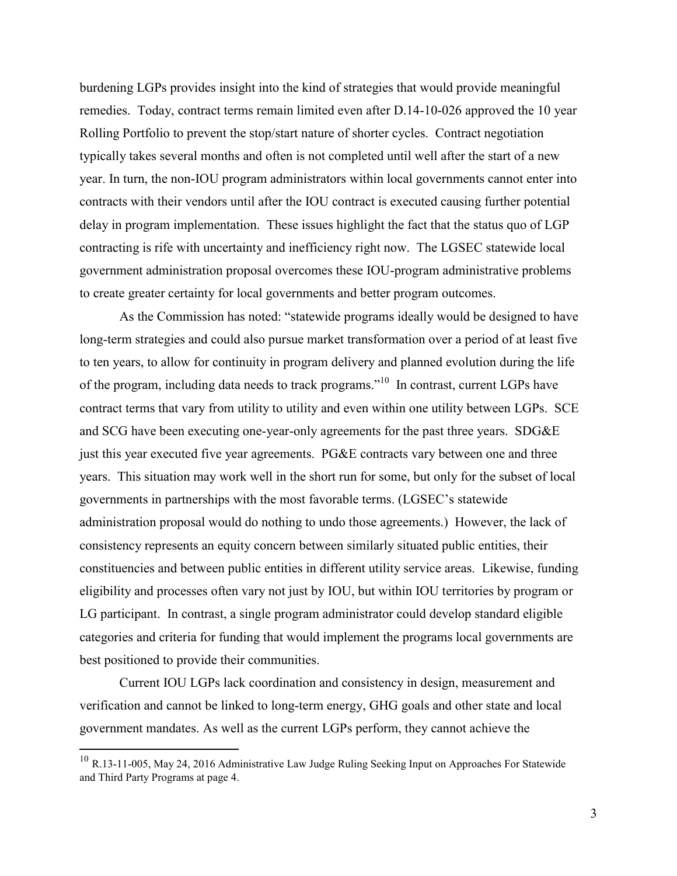burdening LGPs provides insight into the kind of strategies that would provide meaningful remedies. Today, contract terms remain limited even after D.14-10-026 approved the 10 year Rolling Portfolio to prevent the stop/start nature of shorter cycles. Contract negotiation typically takes several months and often is not completed until well after the start of a new year. In turn, the non-IOU program administrators within local governments cannot enter into contracts with their vendors until after the IOU contract is executed causing further potential delay in program implementation. These issues highlight the fact that the status quo of LGP contracting is rife with uncertainty and inefficiency right now. The LGSEC statewide local government administration proposal overcomes these IOU-program administrative problems to create greater certainty for local governments and better program outcomes.

As the Commission has noted: "statewide programs ideally would be designed to have long-term strategies and could also pursue market transformation over a period of at least five to ten years, to allow for continuity in program delivery and planned evolution during the life of the program, including data needs to track programs."<sup>10</sup> In contrast, current LGPs have contract terms that vary from utility to utility and even within one utility between LGPs. SCE and SCG have been executing one-year-only agreements for the past three years. SDG&E just this year executed five year agreements. PG&E contracts vary between one and three years. This situation may work well in the short run for some, but only for the subset of local governments in partnerships with the most favorable terms. (LGSEC's statewide administration proposal would do nothing to undo those agreements.) However, the lack of consistency represents an equity concern between similarly situated public entities, their constituencies and between public entities in different utility service areas. Likewise, funding eligibility and processes often vary not just by IOU, but within IOU territories by program or LG participant. In contrast, a single program administrator could develop standard eligible categories and criteria for funding that would implement the programs local governments are best positioned to provide their communities.

Current IOU LGPs lack coordination and consistency in design, measurement and verification and cannot be linked to long-term energy, GHG goals and other state and local government mandates. As well as the current LGPs perform, they cannot achieve the

 $^{10}$  R.13-11-005, May 24, 2016 Administrative Law Judge Ruling Seeking Input on Approaches For Statewide and Third Party Programs at page 4.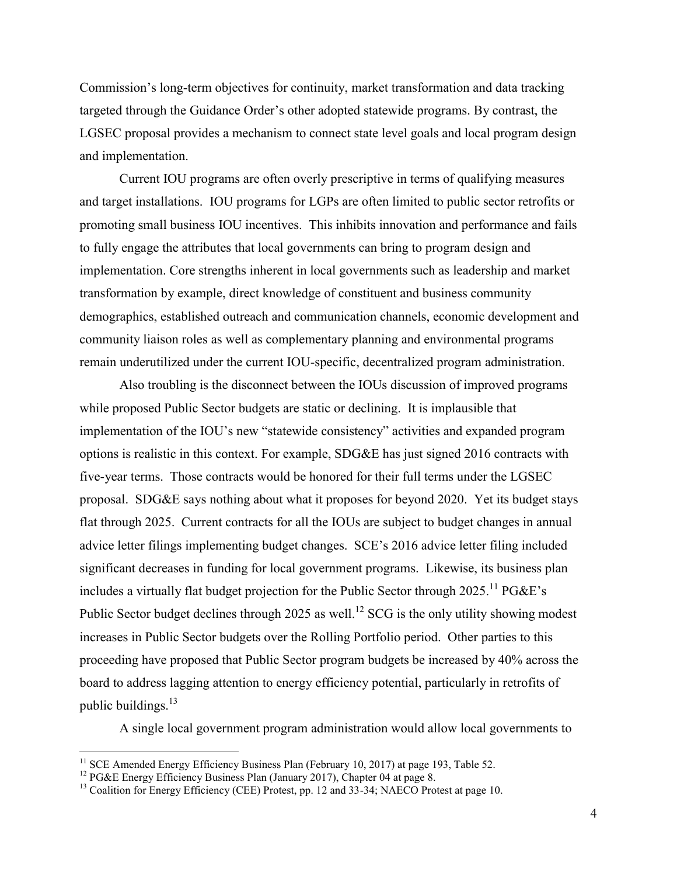Commission's long-term objectives for continuity, market transformation and data tracking targeted through the Guidance Order's other adopted statewide programs. By contrast, the LGSEC proposal provides a mechanism to connect state level goals and local program design and implementation.

Current IOU programs are often overly prescriptive in terms of qualifying measures and target installations. IOU programs for LGPs are often limited to public sector retrofits or promoting small business IOU incentives. This inhibits innovation and performance and fails to fully engage the attributes that local governments can bring to program design and implementation. Core strengths inherent in local governments such as leadership and market transformation by example, direct knowledge of constituent and business community demographics, established outreach and communication channels, economic development and community liaison roles as well as complementary planning and environmental programs remain underutilized under the current IOU-specific, decentralized program administration.

Also troubling is the disconnect between the IOUs discussion of improved programs while proposed Public Sector budgets are static or declining. It is implausible that implementation of the IOU's new "statewide consistency" activities and expanded program options is realistic in this context. For example, SDG&E has just signed 2016 contracts with five-year terms. Those contracts would be honored for their full terms under the LGSEC proposal. SDG&E says nothing about what it proposes for beyond 2020. Yet its budget stays flat through 2025. Current contracts for all the IOUs are subject to budget changes in annual advice letter filings implementing budget changes. SCE's 2016 advice letter filing included significant decreases in funding for local government programs. Likewise, its business plan includes a virtually flat budget projection for the Public Sector through  $2025$ .<sup>11</sup> PG&E's Public Sector budget declines through 2025 as well.<sup>12</sup> SCG is the only utility showing modest increases in Public Sector budgets over the Rolling Portfolio period. Other parties to this proceeding have proposed that Public Sector program budgets be increased by 40% across the board to address lagging attention to energy efficiency potential, particularly in retrofits of public buildings. $^{13}$ 

A single local government program administration would allow local governments to

<sup>&</sup>lt;sup>11</sup> SCE Amended Energy Efficiency Business Plan (February 10, 2017) at page 193, Table 52.

<sup>&</sup>lt;sup>12</sup> PG&E Energy Efficiency Business Plan (January 2017), Chapter 04 at page 8.

<sup>&</sup>lt;sup>13</sup> Coalition for Energy Efficiency (CEE) Protest, pp. 12 and 33-34; NAECO Protest at page 10.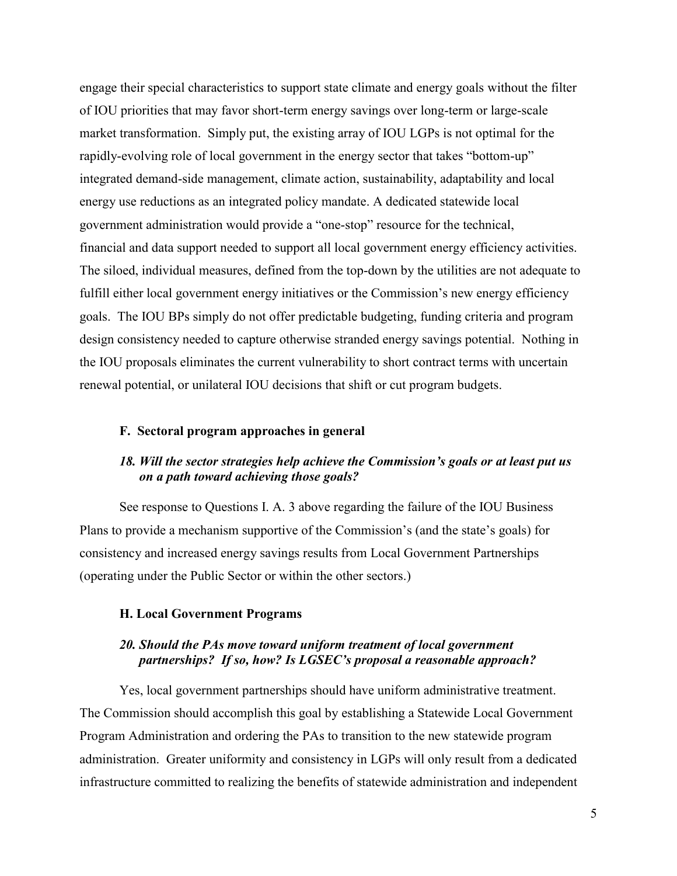engage their special characteristics to support state climate and energy goals without the filter of IOU priorities that may favor short-term energy savings over long-term or large-scale market transformation. Simply put, the existing array of IOU LGPs is not optimal for the rapidly-evolving role of local government in the energy sector that takes "bottom-up" integrated demand-side management, climate action, sustainability, adaptability and local energy use reductions as an integrated policy mandate. A dedicated statewide local government administration would provide a "one-stop" resource for the technical, financial and data support needed to support all local government energy efficiency activities. The siloed, individual measures, defined from the top-down by the utilities are not adequate to fulfill either local government energy initiatives or the Commission's new energy efficiency goals. The IOU BPs simply do not offer predictable budgeting, funding criteria and program design consistency needed to capture otherwise stranded energy savings potential. Nothing in the IOU proposals eliminates the current vulnerability to short contract terms with uncertain renewal potential, or unilateral IOU decisions that shift or cut program budgets.

#### **F. Sectoral program approaches in general**

#### *18. Will the sector strategies help achieve the Commission's goals or at least put us on a path toward achieving those goals?*

See response to Questions I. A. 3 above regarding the failure of the IOU Business Plans to provide a mechanism supportive of the Commission's (and the state's goals) for consistency and increased energy savings results from Local Government Partnerships (operating under the Public Sector or within the other sectors.)

#### **H. Local Government Programs**

#### *20. Should the PAs move toward uniform treatment of local government partnerships? If so, how? Is LGSEC's proposal a reasonable approach?*

Yes, local government partnerships should have uniform administrative treatment. The Commission should accomplish this goal by establishing a Statewide Local Government Program Administration and ordering the PAs to transition to the new statewide program administration. Greater uniformity and consistency in LGPs will only result from a dedicated infrastructure committed to realizing the benefits of statewide administration and independent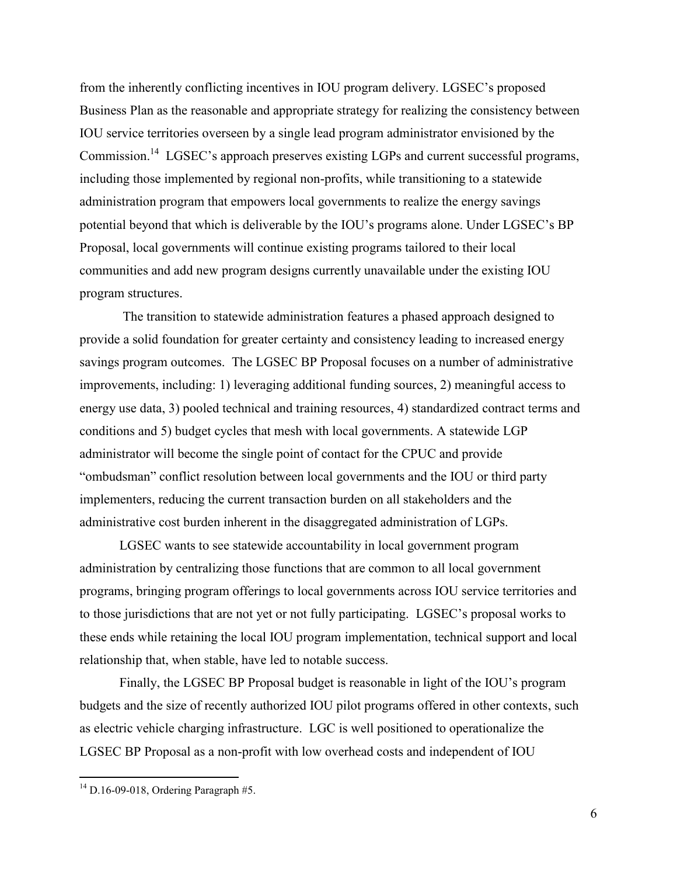from the inherently conflicting incentives in IOU program delivery. LGSEC's proposed Business Plan as the reasonable and appropriate strategy for realizing the consistency between IOU service territories overseen by a single lead program administrator envisioned by the Commission.<sup>14</sup> LGSEC's approach preserves existing LGPs and current successful programs, including those implemented by regional non-profits, while transitioning to a statewide administration program that empowers local governments to realize the energy savings potential beyond that which is deliverable by the IOU's programs alone. Under LGSEC's BP Proposal, local governments will continue existing programs tailored to their local communities and add new program designs currently unavailable under the existing IOU program structures.

The transition to statewide administration features a phased approach designed to provide a solid foundation for greater certainty and consistency leading to increased energy savings program outcomes. The LGSEC BP Proposal focuses on a number of administrative improvements, including: 1) leveraging additional funding sources, 2) meaningful access to energy use data, 3) pooled technical and training resources, 4) standardized contract terms and conditions and 5) budget cycles that mesh with local governments. A statewide LGP administrator will become the single point of contact for the CPUC and provide "ombudsman" conflict resolution between local governments and the IOU or third party implementers, reducing the current transaction burden on all stakeholders and the administrative cost burden inherent in the disaggregated administration of LGPs.

LGSEC wants to see statewide accountability in local government program administration by centralizing those functions that are common to all local government programs, bringing program offerings to local governments across IOU service territories and to those jurisdictions that are not yet or not fully participating. LGSEC's proposal works to these ends while retaining the local IOU program implementation, technical support and local relationship that, when stable, have led to notable success.

Finally, the LGSEC BP Proposal budget is reasonable in light of the IOU's program budgets and the size of recently authorized IOU pilot programs offered in other contexts, such as electric vehicle charging infrastructure. LGC is well positioned to operationalize the LGSEC BP Proposal as a non-profit with low overhead costs and independent of IOU

 $14$  D.16-09-018, Ordering Paragraph #5.